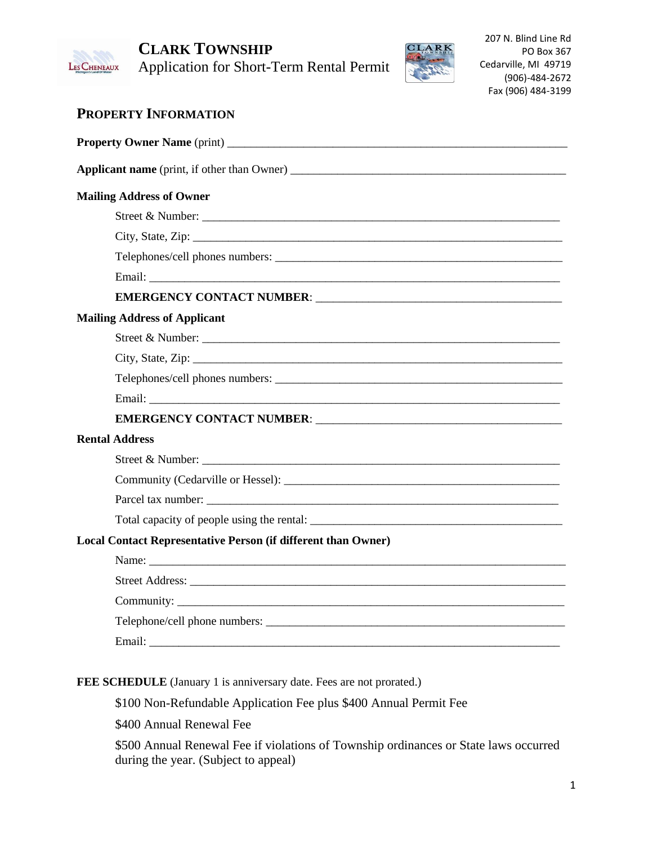

**CLARK TOWNSHIP** Application for Short-Term Rental Permit



| <b>Mailing Address of Owner</b> |                                                                      |
|---------------------------------|----------------------------------------------------------------------|
|                                 |                                                                      |
|                                 |                                                                      |
|                                 |                                                                      |
|                                 |                                                                      |
|                                 |                                                                      |
|                                 | <b>Mailing Address of Applicant</b>                                  |
|                                 | Street & Number:                                                     |
|                                 |                                                                      |
|                                 |                                                                      |
|                                 |                                                                      |
|                                 |                                                                      |
| <b>Rental Address</b>           |                                                                      |
|                                 |                                                                      |
|                                 |                                                                      |
|                                 |                                                                      |
|                                 |                                                                      |
|                                 | <b>Local Contact Representative Person (if different than Owner)</b> |
|                                 |                                                                      |
|                                 | <b>Street Address:</b>                                               |
|                                 |                                                                      |
|                                 |                                                                      |
|                                 |                                                                      |

**FEE SCHEDULE** (January 1 is anniversary date. Fees are not prorated.)

\$100 Non-Refundable Application Fee plus \$400 Annual Permit Fee

\$400 Annual Renewal Fee

\$500 Annual Renewal Fee if violations of Township ordinances or State laws occurred during the year. (Subject to appeal)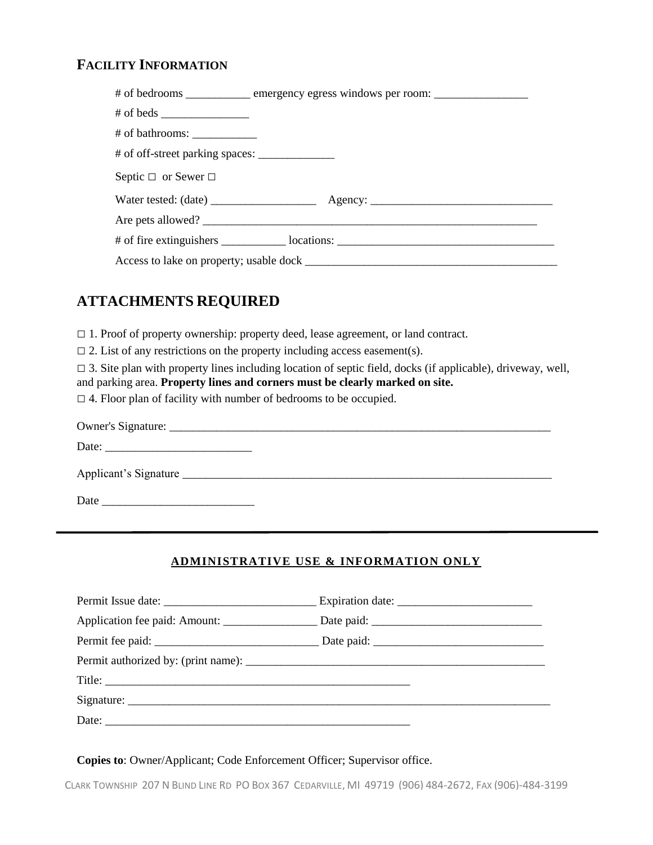# **FACILITY INFORMATION**

| # of bedrooms ___________ emergency egress windows per room: ___________________ |  |  |  |  |  |  |  |  |
|----------------------------------------------------------------------------------|--|--|--|--|--|--|--|--|
|                                                                                  |  |  |  |  |  |  |  |  |
|                                                                                  |  |  |  |  |  |  |  |  |
|                                                                                  |  |  |  |  |  |  |  |  |
| Septic $\Box$ or Sewer $\Box$                                                    |  |  |  |  |  |  |  |  |
|                                                                                  |  |  |  |  |  |  |  |  |
|                                                                                  |  |  |  |  |  |  |  |  |
|                                                                                  |  |  |  |  |  |  |  |  |
|                                                                                  |  |  |  |  |  |  |  |  |

# **ATTACHMENTS REQUIRED**

 $\Box$  1. Proof of property ownership: property deed, lease agreement, or land contract.

 $\square$  2. List of any restrictions on the property including access easement(s).

 $\square$  3. Site plan with property lines including location of septic field, docks (if applicable), driveway, well, and parking area. **Property lines and corners must be clearly marked on site.**

 $\Box$  4. Floor plan of facility with number of bedrooms to be occupied.

Owner's Signature: \_\_\_\_\_\_\_\_\_\_\_\_\_\_\_\_\_\_\_\_\_\_\_\_\_\_\_\_\_\_\_\_\_\_\_\_\_\_\_\_\_\_\_\_\_\_\_\_\_\_\_\_\_\_\_\_\_\_\_\_\_\_\_\_\_ Date: Applicant's Signature \_\_\_\_\_\_\_\_\_\_\_\_\_\_\_\_\_\_\_\_\_\_\_\_\_\_\_\_\_\_\_\_\_\_\_\_\_\_\_\_\_\_\_\_\_\_\_\_\_\_\_\_\_\_\_\_\_\_\_\_\_\_\_ Date  $\Box$ 

#### **ADMINISTRATIVE USE & INFORMATION ONLY**

**Copies to**: Owner/Applicant; Code Enforcement Officer; Supervisor office.

CLARK TOWNSHIP 207 N BLIND LINE RD PO BOX 367 CEDARVILLE, MI 49719 (906) 484-2672, FAX (906)-484-3199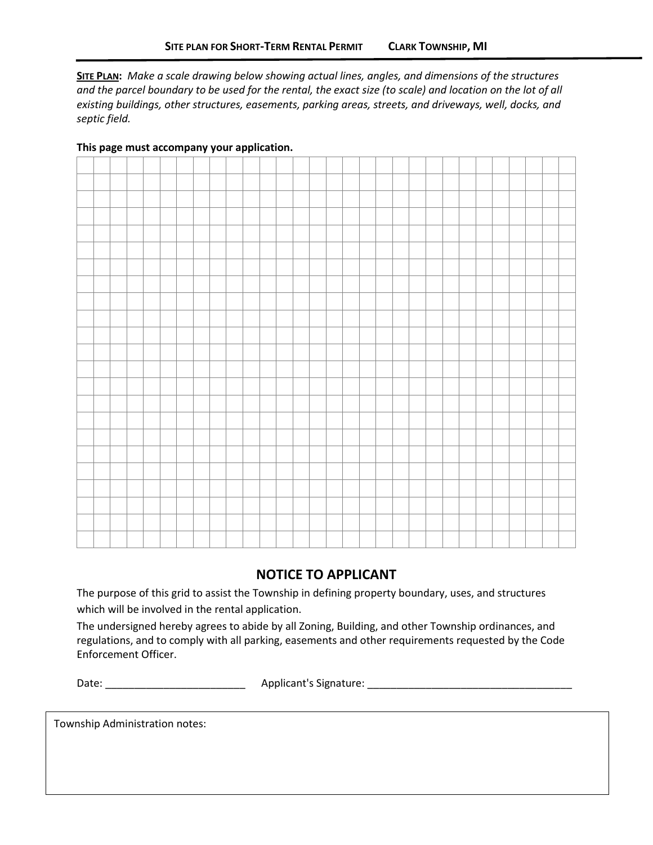**SITE PLAN:** *Make a scale drawing below showing actual lines, angles, and dimensions of the structures and the parcel boundary to be used for the rental, the exact size (to scale) and location on the lot of all existing buildings, other structures, easements, parking areas, streets, and driveways, well, docks, and septic field.* 

#### **This page must accompany your application.**

#### **NOTICE TO APPLICANT**

The purpose of this grid to assist the Township in defining property boundary, uses, and structures which will be involved in the rental application.

The undersigned hereby agrees to abide by all Zoning, Building, and other Township ordinances, and regulations, and to comply with all parking, easements and other requirements requested by the Code Enforcement Officer.

Date: \_\_\_\_\_\_\_\_\_\_\_\_\_\_\_\_\_\_\_\_\_\_\_\_ Applicant's Signature: \_\_\_\_\_\_\_\_\_\_\_\_\_\_\_\_\_\_\_\_\_\_\_\_\_\_\_\_\_\_\_\_\_\_\_

Township Administration notes: